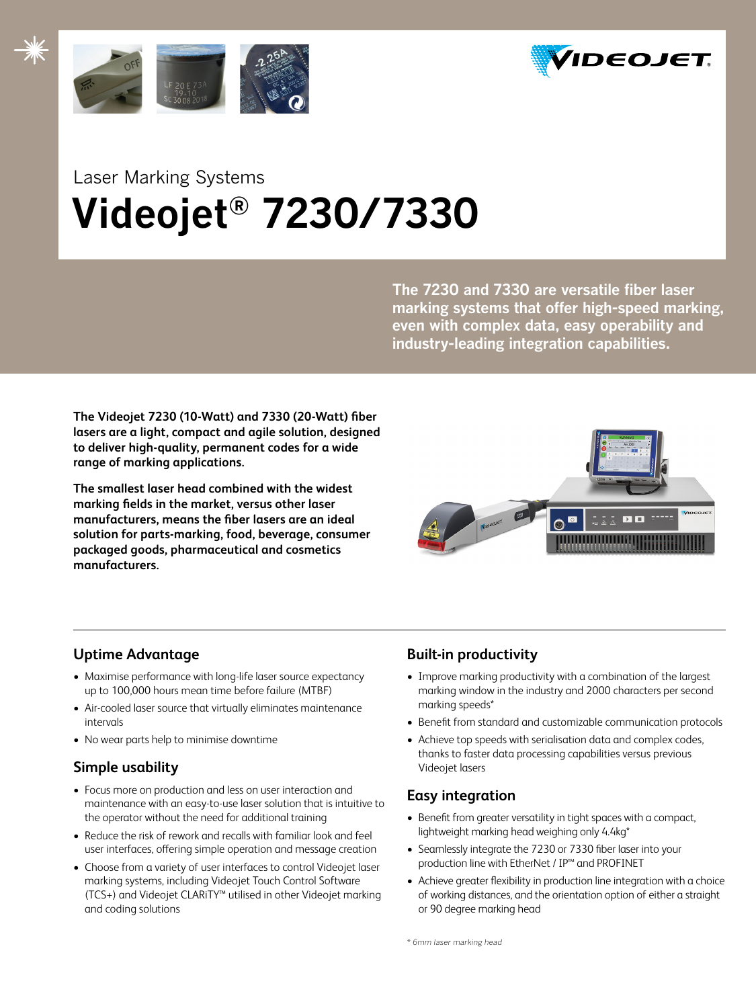



# Laser Marking Systems  **Videojet® 7230/7330**

**The 7230 and 7330 are versatile fiber laser marking systems that offer high-speed marking, even with complex data, easy operability and industry-leading integration capabilities.**

**The Videojet 7230 (10-Watt) and 7330 (20-Watt) fiber lasers are a light, compact and agile solution, designed to deliver high-quality, permanent codes for a wide range of marking applications.** 

**The smallest laser head combined with the widest marking fields in the market, versus other laser manufacturers, means the fiber lasers are an ideal solution for parts-marking, food, beverage, consumer packaged goods, pharmaceutical and cosmetics manufacturers.** 



# **Uptime Advantage**

- Maximise performance with long-life laser source expectancy up to 100,000 hours mean time before failure (MTBF)
- Air-cooled laser source that virtually eliminates maintenance intervals
- No wear parts help to minimise downtime

# **Simple usability**

- Focus more on production and less on user interaction and maintenance with an easy-to-use laser solution that is intuitive to the operator without the need for additional training
- Reduce the risk of rework and recalls with familiar look and feel user interfaces, offering simple operation and message creation
- Choose from a variety of user interfaces to control Videojet laser marking systems, including Videojet Touch Control Software (TCS+) and Videojet CLARiTY™ utilised in other Videojet marking and coding solutions

# **Built-in productivity**

- Improve marking productivity with a combination of the largest marking window in the industry and 2000 characters per second marking speeds\*
- Benefit from standard and customizable communication protocols
- Achieve top speeds with serialisation data and complex codes, thanks to faster data processing capabilities versus previous Videojet lasers

# **Easy integration**

- Benefit from greater versatility in tight spaces with a compact, lightweight marking head weighing only 4.4kg\*
- Seamlessly integrate the 7230 or 7330 fiber laser into your production line with EtherNet / IP™ and PROFINET
- Achieve greater flexibility in production line integration with a choice of working distances, and the orientation option of either a straight or 90 degree marking head